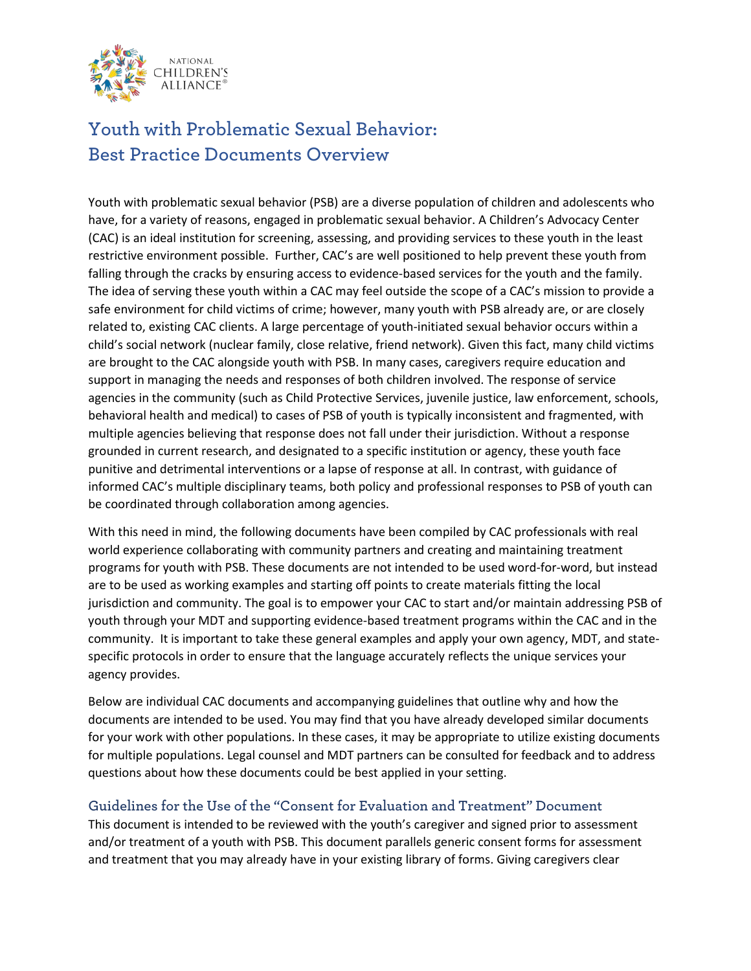

# **Youth with Problematic Sexual Behavior: Best Practice Documents Overview**

Youth with problematic sexual behavior (PSB) are a diverse population of children and adolescents who have, for a variety of reasons, engaged in problematic sexual behavior. A Children's Advocacy Center (CAC) is an ideal institution for screening, assessing, and providing services to these youth in the least restrictive environment possible. Further, CAC's are well positioned to help prevent these youth from falling through the cracks by ensuring access to evidence-based services for the youth and the family. The idea of serving these youth within a CAC may feel outside the scope of a CAC's mission to provide a safe environment for child victims of crime; however, many youth with PSB already are, or are closely related to, existing CAC clients. A large percentage of youth-initiated sexual behavior occurs within a child's social network (nuclear family, close relative, friend network). Given this fact, many child victims are brought to the CAC alongside youth with PSB. In many cases, caregivers require education and support in managing the needs and responses of both children involved. The response of service agencies in the community (such as Child Protective Services, juvenile justice, law enforcement, schools, behavioral health and medical) to cases of PSB of youth is typically inconsistent and fragmented, with multiple agencies believing that response does not fall under their jurisdiction. Without a response grounded in current research, and designated to a specific institution or agency, these youth face punitive and detrimental interventions or a lapse of response at all. In contrast, with guidance of informed CAC's multiple disciplinary teams, both policy and professional responses to PSB of youth can be coordinated through collaboration among agencies.

With this need in mind, the following documents have been compiled by CAC professionals with real world experience collaborating with community partners and creating and maintaining treatment programs for youth with PSB. These documents are not intended to be used word-for-word, but instead are to be used as working examples and starting off points to create materials fitting the local jurisdiction and community. The goal is to empower your CAC to start and/or maintain addressing PSB of youth through your MDT and supporting evidence-based treatment programs within the CAC and in the community. It is important to take these general examples and apply your own agency, MDT, and statespecific protocols in order to ensure that the language accurately reflects the unique services your agency provides.

Below are individual CAC documents and accompanying guidelines that outline why and how the documents are intended to be used. You may find that you have already developed similar documents for your work with other populations. In these cases, it may be appropriate to utilize existing documents for multiple populations. Legal counsel and MDT partners can be consulted for feedback and to address questions about how these documents could be best applied in your setting.

## **Guidelines for the Use of the "Consent for Evaluation and Treatment" Document**

This document is intended to be reviewed with the youth's caregiver and signed prior to assessment and/or treatment of a youth with PSB. This document parallels generic consent forms for assessment and treatment that you may already have in your existing library of forms. Giving caregivers clear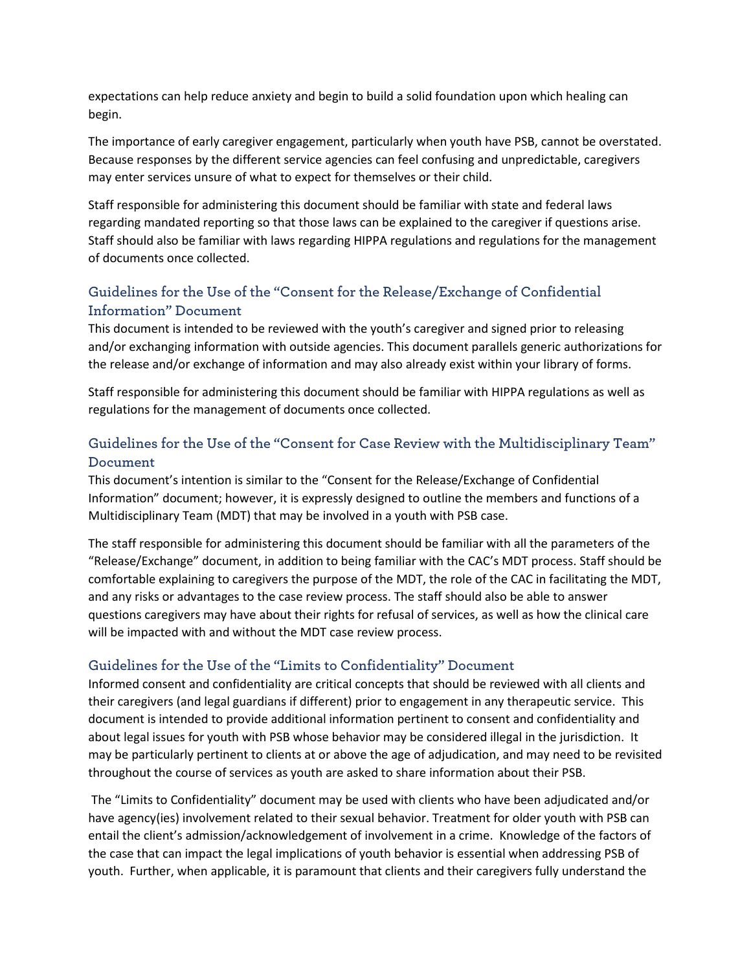expectations can help reduce anxiety and begin to build a solid foundation upon which healing can begin.

The importance of early caregiver engagement, particularly when youth have PSB, cannot be overstated. Because responses by the different service agencies can feel confusing and unpredictable, caregivers may enter services unsure of what to expect for themselves or their child.

Staff responsible for administering this document should be familiar with state and federal laws regarding mandated reporting so that those laws can be explained to the caregiver if questions arise. Staff should also be familiar with laws regarding HIPPA regulations and regulations for the management of documents once collected.

# **Guidelines for the Use of the "Consent for the Release/Exchange of Confidential Information" Document**

This document is intended to be reviewed with the youth's caregiver and signed prior to releasing and/or exchanging information with outside agencies. This document parallels generic authorizations for the release and/or exchange of information and may also already exist within your library of forms.

Staff responsible for administering this document should be familiar with HIPPA regulations as well as regulations for the management of documents once collected.

# **Guidelines for the Use of the "Consent for Case Review with the Multidisciplinary Team" Document**

This document's intention is similar to the "Consent for the Release/Exchange of Confidential Information" document; however, it is expressly designed to outline the members and functions of a Multidisciplinary Team (MDT) that may be involved in a youth with PSB case.

The staff responsible for administering this document should be familiar with all the parameters of the "Release/Exchange" document, in addition to being familiar with the CAC's MDT process. Staff should be comfortable explaining to caregivers the purpose of the MDT, the role of the CAC in facilitating the MDT, and any risks or advantages to the case review process. The staff should also be able to answer questions caregivers may have about their rights for refusal of services, as well as how the clinical care will be impacted with and without the MDT case review process.

## **Guidelines for the Use of the "Limits to Confidentiality" Document**

Informed consent and confidentiality are critical concepts that should be reviewed with all clients and their caregivers (and legal guardians if different) prior to engagement in any therapeutic service. This document is intended to provide additional information pertinent to consent and confidentiality and about legal issues for youth with PSB whose behavior may be considered illegal in the jurisdiction. It may be particularly pertinent to clients at or above the age of adjudication, and may need to be revisited throughout the course of services as youth are asked to share information about their PSB.

The "Limits to Confidentiality" document may be used with clients who have been adjudicated and/or have agency(ies) involvement related to their sexual behavior. Treatment for older youth with PSB can entail the client's admission/acknowledgement of involvement in a crime. Knowledge of the factors of the case that can impact the legal implications of youth behavior is essential when addressing PSB of youth. Further, when applicable, it is paramount that clients and their caregivers fully understand the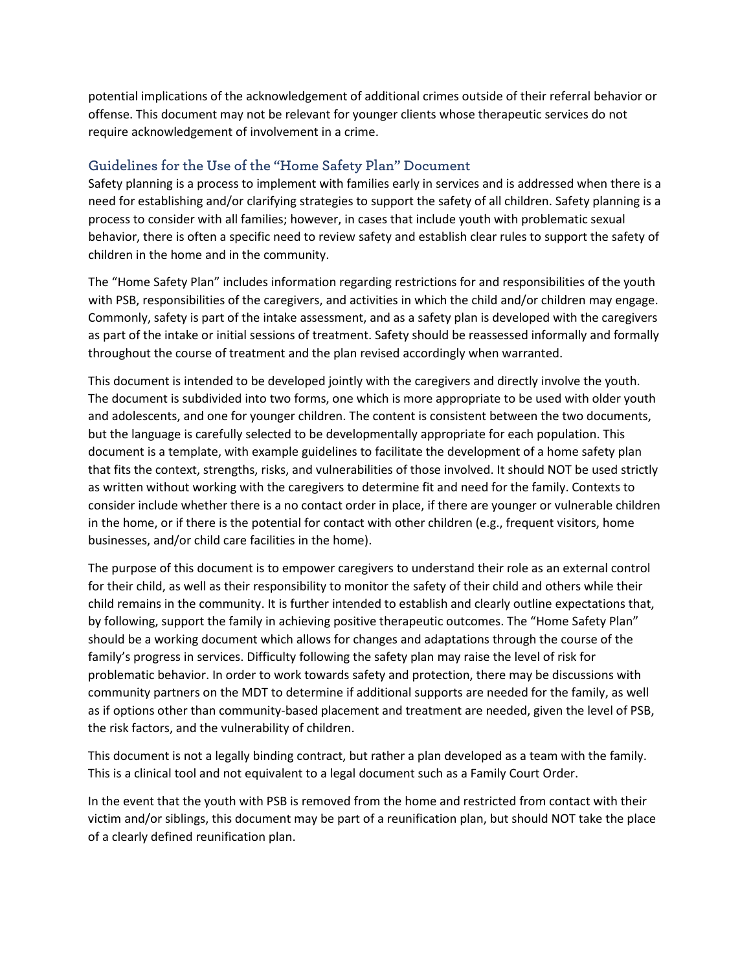potential implications of the acknowledgement of additional crimes outside of their referral behavior or offense. This document may not be relevant for younger clients whose therapeutic services do not require acknowledgement of involvement in a crime.

# **Guidelines for the Use of the "Home Safety Plan" Document**

Safety planning is a process to implement with families early in services and is addressed when there is a need for establishing and/or clarifying strategies to support the safety of all children. Safety planning is a process to consider with all families; however, in cases that include youth with problematic sexual behavior, there is often a specific need to review safety and establish clear rules to support the safety of children in the home and in the community.

The "Home Safety Plan" includes information regarding restrictions for and responsibilities of the youth with PSB, responsibilities of the caregivers, and activities in which the child and/or children may engage. Commonly, safety is part of the intake assessment, and as a safety plan is developed with the caregivers as part of the intake or initial sessions of treatment. Safety should be reassessed informally and formally throughout the course of treatment and the plan revised accordingly when warranted.

This document is intended to be developed jointly with the caregivers and directly involve the youth. The document is subdivided into two forms, one which is more appropriate to be used with older youth and adolescents, and one for younger children. The content is consistent between the two documents, but the language is carefully selected to be developmentally appropriate for each population. This document is a template, with example guidelines to facilitate the development of a home safety plan that fits the context, strengths, risks, and vulnerabilities of those involved. It should NOT be used strictly as written without working with the caregivers to determine fit and need for the family. Contexts to consider include whether there is a no contact order in place, if there are younger or vulnerable children in the home, or if there is the potential for contact with other children (e.g., frequent visitors, home businesses, and/or child care facilities in the home).

The purpose of this document is to empower caregivers to understand their role as an external control for their child, as well as their responsibility to monitor the safety of their child and others while their child remains in the community. It is further intended to establish and clearly outline expectations that, by following, support the family in achieving positive therapeutic outcomes. The "Home Safety Plan" should be a working document which allows for changes and adaptations through the course of the family's progress in services. Difficulty following the safety plan may raise the level of risk for problematic behavior. In order to work towards safety and protection, there may be discussions with community partners on the MDT to determine if additional supports are needed for the family, as well as if options other than community-based placement and treatment are needed, given the level of PSB, the risk factors, and the vulnerability of children.

This document is not a legally binding contract, but rather a plan developed as a team with the family. This is a clinical tool and not equivalent to a legal document such as a Family Court Order.

In the event that the youth with PSB is removed from the home and restricted from contact with their victim and/or siblings, this document may be part of a reunification plan, but should NOT take the place of a clearly defined reunification plan.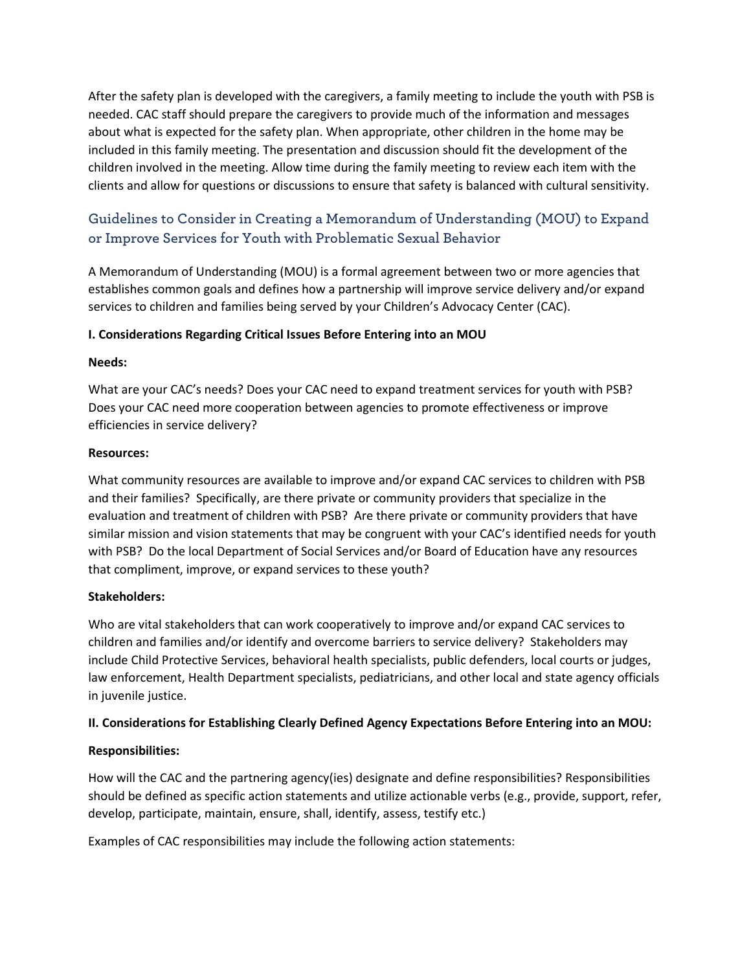After the safety plan is developed with the caregivers, a family meeting to include the youth with PSB is needed. CAC staff should prepare the caregivers to provide much of the information and messages about what is expected for the safety plan. When appropriate, other children in the home may be included in this family meeting. The presentation and discussion should fit the development of the children involved in the meeting. Allow time during the family meeting to review each item with the clients and allow for questions or discussions to ensure that safety is balanced with cultural sensitivity.

# **Guidelines to Consider in Creating a Memorandum of Understanding (MOU) to Expand or Improve Services for Youth with Problematic Sexual Behavior**

A Memorandum of Understanding (MOU) is a formal agreement between two or more agencies that establishes common goals and defines how a partnership will improve service delivery and/or expand services to children and families being served by your Children's Advocacy Center (CAC).

### **I. Considerations Regarding Critical Issues Before Entering into an MOU**

### **Needs:**

What are your CAC's needs? Does your CAC need to expand treatment services for youth with PSB? Does your CAC need more cooperation between agencies to promote effectiveness or improve efficiencies in service delivery?

#### **Resources:**

What community resources are available to improve and/or expand CAC services to children with PSB and their families? Specifically, are there private or community providers that specialize in the evaluation and treatment of children with PSB? Are there private or community providers that have similar mission and vision statements that may be congruent with your CAC's identified needs for youth with PSB? Do the local Department of Social Services and/or Board of Education have any resources that compliment, improve, or expand services to these youth?

### **Stakeholders:**

Who are vital stakeholders that can work cooperatively to improve and/or expand CAC services to children and families and/or identify and overcome barriers to service delivery? Stakeholders may include Child Protective Services, behavioral health specialists, public defenders, local courts or judges, law enforcement, Health Department specialists, pediatricians, and other local and state agency officials in juvenile justice.

### **II. Considerations for Establishing Clearly Defined Agency Expectations Before Entering into an MOU:**

### **Responsibilities:**

How will the CAC and the partnering agency(ies) designate and define responsibilities? Responsibilities should be defined as specific action statements and utilize actionable verbs (e.g., provide, support, refer, develop, participate, maintain, ensure, shall, identify, assess, testify etc.)

Examples of CAC responsibilities may include the following action statements: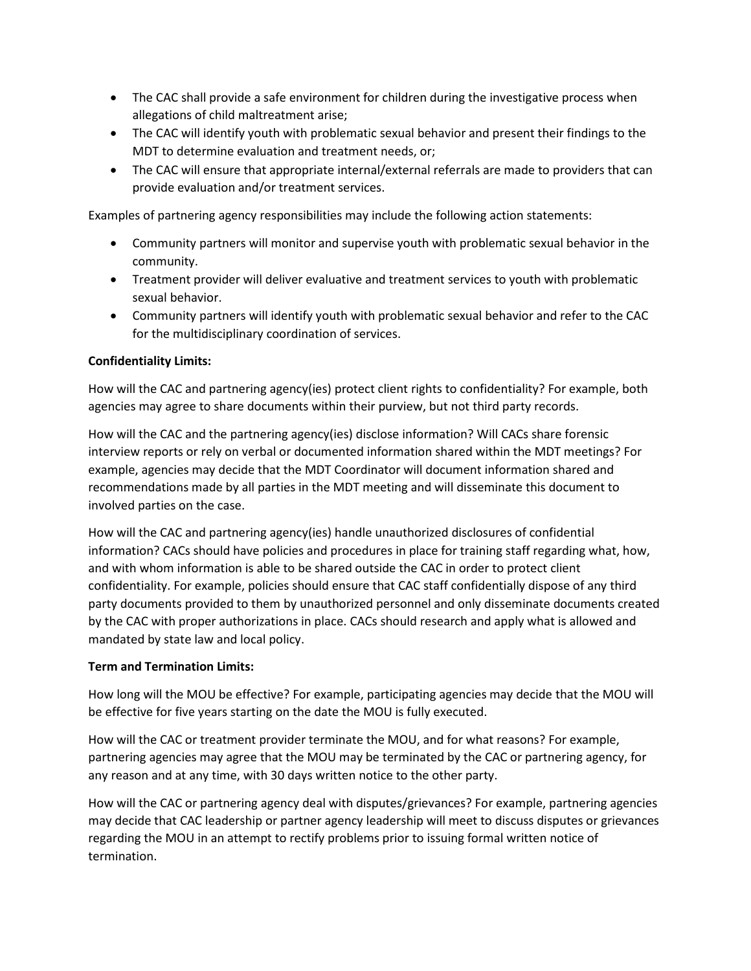- The CAC shall provide a safe environment for children during the investigative process when allegations of child maltreatment arise;
- The CAC will identify youth with problematic sexual behavior and present their findings to the MDT to determine evaluation and treatment needs, or;
- The CAC will ensure that appropriate internal/external referrals are made to providers that can provide evaluation and/or treatment services.

Examples of partnering agency responsibilities may include the following action statements:

- Community partners will monitor and supervise youth with problematic sexual behavior in the community.
- Treatment provider will deliver evaluative and treatment services to youth with problematic sexual behavior.
- Community partners will identify youth with problematic sexual behavior and refer to the CAC for the multidisciplinary coordination of services.

### **Confidentiality Limits:**

How will the CAC and partnering agency(ies) protect client rights to confidentiality? For example, both agencies may agree to share documents within their purview, but not third party records.

How will the CAC and the partnering agency(ies) disclose information? Will CACs share forensic interview reports or rely on verbal or documented information shared within the MDT meetings? For example, agencies may decide that the MDT Coordinator will document information shared and recommendations made by all parties in the MDT meeting and will disseminate this document to involved parties on the case.

How will the CAC and partnering agency(ies) handle unauthorized disclosures of confidential information? CACs should have policies and procedures in place for training staff regarding what, how, and with whom information is able to be shared outside the CAC in order to protect client confidentiality. For example, policies should ensure that CAC staff confidentially dispose of any third party documents provided to them by unauthorized personnel and only disseminate documents created by the CAC with proper authorizations in place. CACs should research and apply what is allowed and mandated by state law and local policy.

### **Term and Termination Limits:**

How long will the MOU be effective? For example, participating agencies may decide that the MOU will be effective for five years starting on the date the MOU is fully executed.

How will the CAC or treatment provider terminate the MOU, and for what reasons? For example, partnering agencies may agree that the MOU may be terminated by the CAC or partnering agency, for any reason and at any time, with 30 days written notice to the other party.

How will the CAC or partnering agency deal with disputes/grievances? For example, partnering agencies may decide that CAC leadership or partner agency leadership will meet to discuss disputes or grievances regarding the MOU in an attempt to rectify problems prior to issuing formal written notice of termination.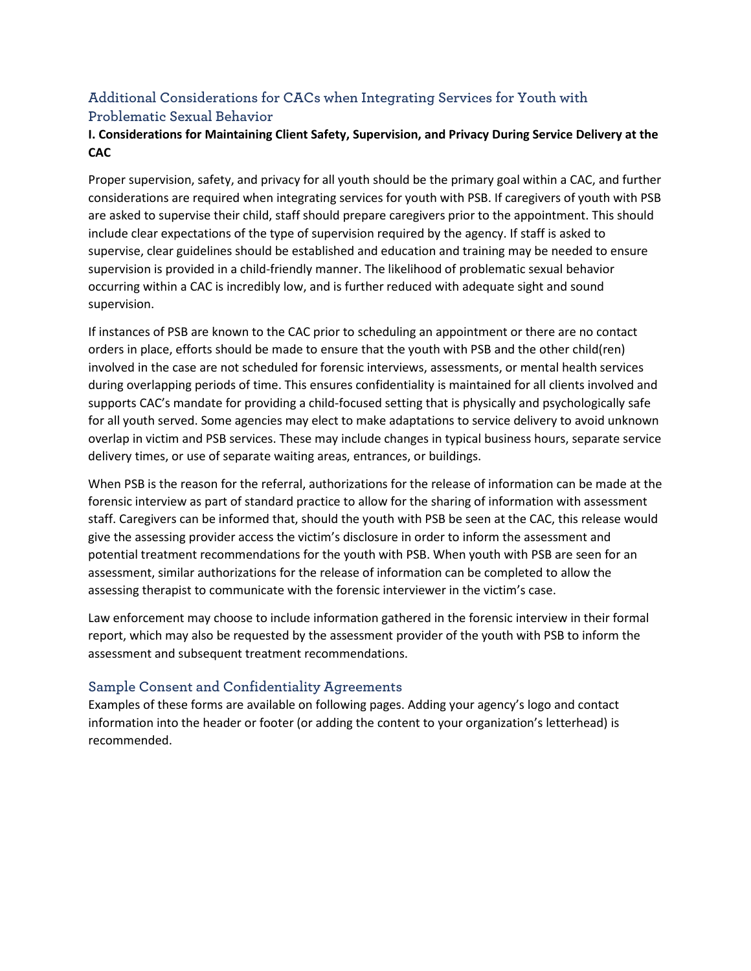# **Additional Considerations for CACs when Integrating Services for Youth with Problematic Sexual Behavior**

## **I. Considerations for Maintaining Client Safety, Supervision, and Privacy During Service Delivery at the CAC**

Proper supervision, safety, and privacy for all youth should be the primary goal within a CAC, and further considerations are required when integrating services for youth with PSB. If caregivers of youth with PSB are asked to supervise their child, staff should prepare caregivers prior to the appointment. This should include clear expectations of the type of supervision required by the agency. If staff is asked to supervise, clear guidelines should be established and education and training may be needed to ensure supervision is provided in a child-friendly manner. The likelihood of problematic sexual behavior occurring within a CAC is incredibly low, and is further reduced with adequate sight and sound supervision.

If instances of PSB are known to the CAC prior to scheduling an appointment or there are no contact orders in place, efforts should be made to ensure that the youth with PSB and the other child(ren) involved in the case are not scheduled for forensic interviews, assessments, or mental health services during overlapping periods of time. This ensures confidentiality is maintained for all clients involved and supports CAC's mandate for providing a child-focused setting that is physically and psychologically safe for all youth served. Some agencies may elect to make adaptations to service delivery to avoid unknown overlap in victim and PSB services. These may include changes in typical business hours, separate service delivery times, or use of separate waiting areas, entrances, or buildings.

When PSB is the reason for the referral, authorizations for the release of information can be made at the forensic interview as part of standard practice to allow for the sharing of information with assessment staff. Caregivers can be informed that, should the youth with PSB be seen at the CAC, this release would give the assessing provider access the victim's disclosure in order to inform the assessment and potential treatment recommendations for the youth with PSB. When youth with PSB are seen for an assessment, similar authorizations for the release of information can be completed to allow the assessing therapist to communicate with the forensic interviewer in the victim's case.

Law enforcement may choose to include information gathered in the forensic interview in their formal report, which may also be requested by the assessment provider of the youth with PSB to inform the assessment and subsequent treatment recommendations.

## **Sample Consent and Confidentiality Agreements**

Examples of these forms are available on following pages. Adding your agency's logo and contact information into the header or footer (or adding the content to your organization's letterhead) is recommended.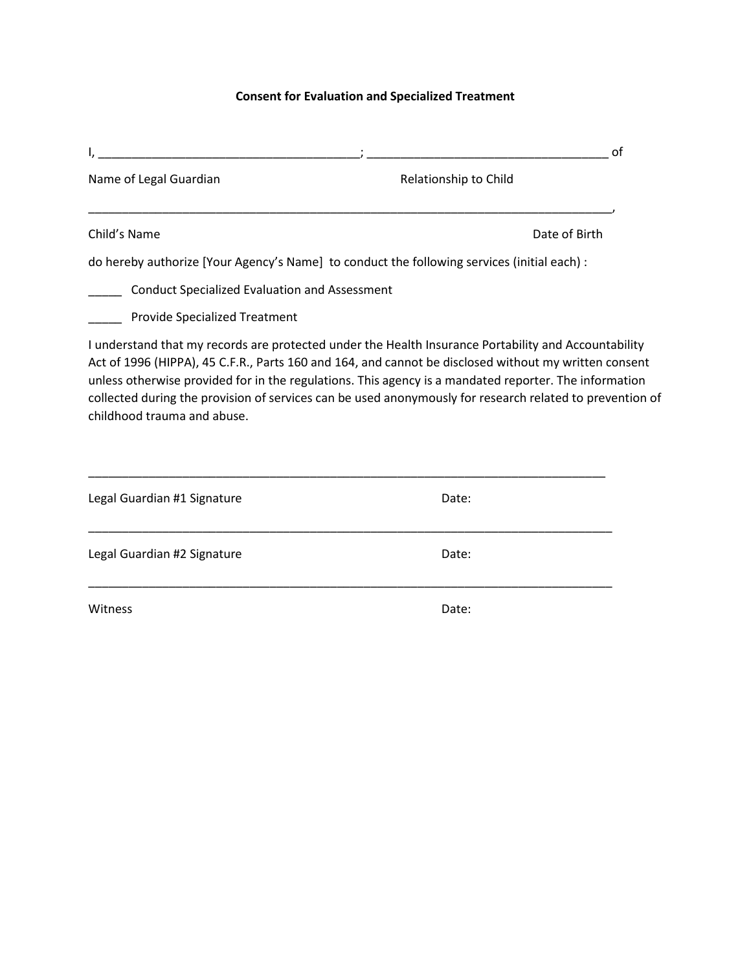# **Consent for Evaluation and Specialized Treatment**

| <u> 1989 - Johann Barn, mars ann an t-Amhain an t-Amhain an t-Amhain an t-Amhain an t-Amhain an t-Amhain an t-Amh</u> | of<br><u> 1989 - Johann John Stone, mars eta bat eta bat eta bat eta bat eta bat eta bat eta bat eta bat eta bat eta b</u>                                                                                                                                                                                                                                                                                                         |
|-----------------------------------------------------------------------------------------------------------------------|------------------------------------------------------------------------------------------------------------------------------------------------------------------------------------------------------------------------------------------------------------------------------------------------------------------------------------------------------------------------------------------------------------------------------------|
| Name of Legal Guardian                                                                                                | Relationship to Child                                                                                                                                                                                                                                                                                                                                                                                                              |
| Child's Name                                                                                                          | Date of Birth                                                                                                                                                                                                                                                                                                                                                                                                                      |
| do hereby authorize [Your Agency's Name] to conduct the following services (initial each) :                           |                                                                                                                                                                                                                                                                                                                                                                                                                                    |
| <b>Conduct Specialized Evaluation and Assessment</b>                                                                  |                                                                                                                                                                                                                                                                                                                                                                                                                                    |
| <b>Provide Specialized Treatment</b>                                                                                  |                                                                                                                                                                                                                                                                                                                                                                                                                                    |
| childhood trauma and abuse.                                                                                           | I understand that my records are protected under the Health Insurance Portability and Accountability<br>Act of 1996 (HIPPA), 45 C.F.R., Parts 160 and 164, and cannot be disclosed without my written consent<br>unless otherwise provided for in the regulations. This agency is a mandated reporter. The information<br>collected during the provision of services can be used anonymously for research related to prevention of |
| Legal Guardian #1 Signature                                                                                           | Date:                                                                                                                                                                                                                                                                                                                                                                                                                              |
| Legal Guardian #2 Signature                                                                                           | Date:                                                                                                                                                                                                                                                                                                                                                                                                                              |
| Witness                                                                                                               | Date:                                                                                                                                                                                                                                                                                                                                                                                                                              |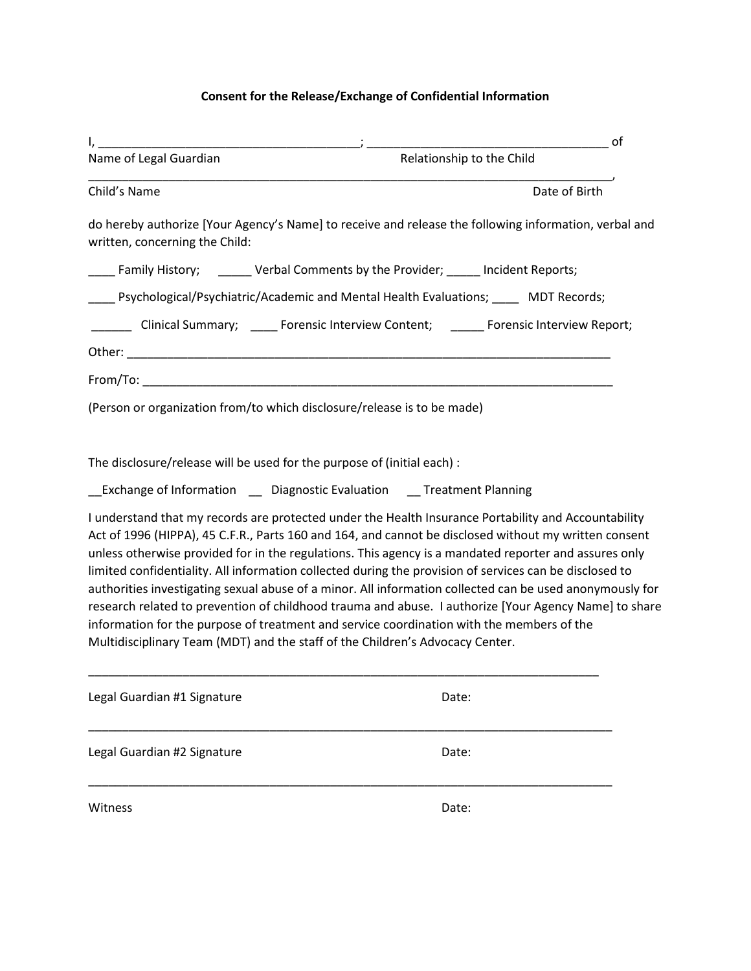# **Consent for the Release/Exchange of Confidential Information**

| I, __________________          | $=$ of                                                                                                                                                                                                                                                                                                                                                                                                                                                                                                                                                                                                                                                                                                                                                                                                                                                                                                            |
|--------------------------------|-------------------------------------------------------------------------------------------------------------------------------------------------------------------------------------------------------------------------------------------------------------------------------------------------------------------------------------------------------------------------------------------------------------------------------------------------------------------------------------------------------------------------------------------------------------------------------------------------------------------------------------------------------------------------------------------------------------------------------------------------------------------------------------------------------------------------------------------------------------------------------------------------------------------|
| Name of Legal Guardian         | Relationship to the Child                                                                                                                                                                                                                                                                                                                                                                                                                                                                                                                                                                                                                                                                                                                                                                                                                                                                                         |
| Child's Name                   | Date of Birth                                                                                                                                                                                                                                                                                                                                                                                                                                                                                                                                                                                                                                                                                                                                                                                                                                                                                                     |
| written, concerning the Child: | do hereby authorize [Your Agency's Name] to receive and release the following information, verbal and                                                                                                                                                                                                                                                                                                                                                                                                                                                                                                                                                                                                                                                                                                                                                                                                             |
|                                | _____ Family History; _______ Verbal Comments by the Provider; ______ Incident Reports;                                                                                                                                                                                                                                                                                                                                                                                                                                                                                                                                                                                                                                                                                                                                                                                                                           |
|                                | ____ Psychological/Psychiatric/Academic and Mental Health Evaluations; ____ MDT Records;                                                                                                                                                                                                                                                                                                                                                                                                                                                                                                                                                                                                                                                                                                                                                                                                                          |
|                                | Clinical Summary; ______ Forensic Interview Content; _______ Forensic Interview Report;                                                                                                                                                                                                                                                                                                                                                                                                                                                                                                                                                                                                                                                                                                                                                                                                                           |
|                                |                                                                                                                                                                                                                                                                                                                                                                                                                                                                                                                                                                                                                                                                                                                                                                                                                                                                                                                   |
|                                |                                                                                                                                                                                                                                                                                                                                                                                                                                                                                                                                                                                                                                                                                                                                                                                                                                                                                                                   |
|                                | (Person or organization from/to which disclosure/release is to be made)                                                                                                                                                                                                                                                                                                                                                                                                                                                                                                                                                                                                                                                                                                                                                                                                                                           |
|                                | __Exchange of Information __ Diagnostic Evaluation ___ Treatment Planning<br>I understand that my records are protected under the Health Insurance Portability and Accountability<br>Act of 1996 (HIPPA), 45 C.F.R., Parts 160 and 164, and cannot be disclosed without my written consent<br>unless otherwise provided for in the regulations. This agency is a mandated reporter and assures only<br>limited confidentiality. All information collected during the provision of services can be disclosed to<br>authorities investigating sexual abuse of a minor. All information collected can be used anonymously for<br>research related to prevention of childhood trauma and abuse. I authorize [Your Agency Name] to share<br>information for the purpose of treatment and service coordination with the members of the<br>Multidisciplinary Team (MDT) and the staff of the Children's Advocacy Center. |
| Legal Guardian #1 Signature    | Date:                                                                                                                                                                                                                                                                                                                                                                                                                                                                                                                                                                                                                                                                                                                                                                                                                                                                                                             |
| Legal Guardian #2 Signature    | Date:                                                                                                                                                                                                                                                                                                                                                                                                                                                                                                                                                                                                                                                                                                                                                                                                                                                                                                             |
| Witness                        | Date:                                                                                                                                                                                                                                                                                                                                                                                                                                                                                                                                                                                                                                                                                                                                                                                                                                                                                                             |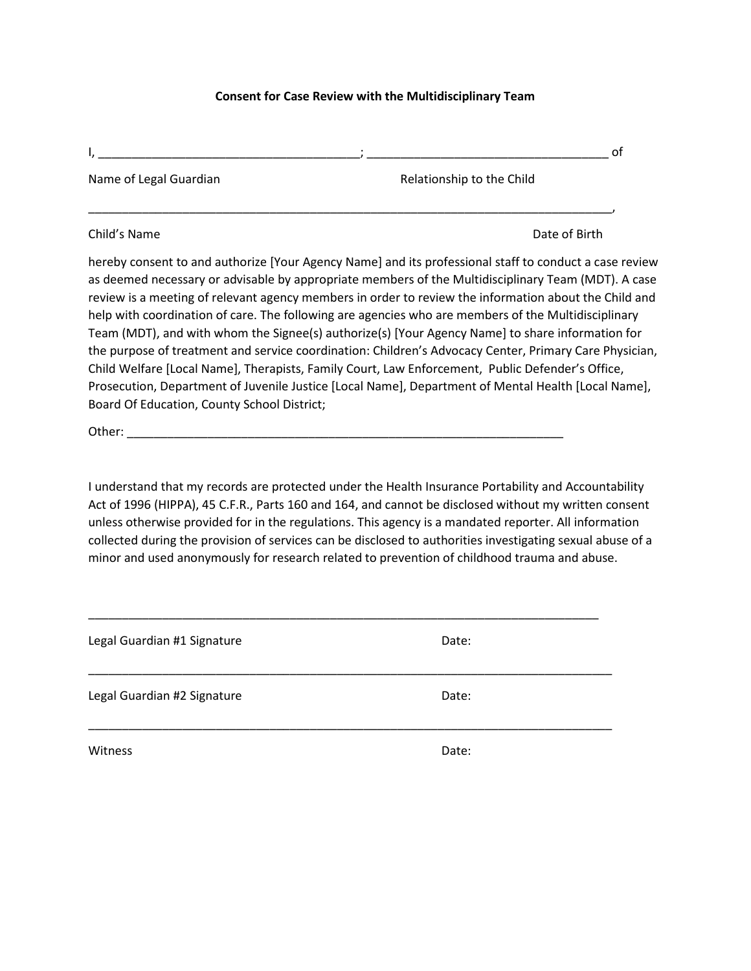#### **Consent for Case Review with the Multidisciplinary Team**

| Name of Legal Guardian | Relationship to the Child                                                                                                                                                                                                                                                                                              |
|------------------------|------------------------------------------------------------------------------------------------------------------------------------------------------------------------------------------------------------------------------------------------------------------------------------------------------------------------|
|                        |                                                                                                                                                                                                                                                                                                                        |
| Child's Name           | Date of Birth                                                                                                                                                                                                                                                                                                          |
|                        | hereby consent to and authorize [Your Agency Name] and its professional staff to conduct a case review<br>as deemed necessary or advisable by appropriate members of the Multidisciplinary Team (MDT). A case<br>review is a meeting of relevant agency members in order to review the information about the Child and |
|                        | help with coordination of care. The following are agencies who are members of the Multidisciplinary<br>Team (MDT), and with whom the Signee(s) authorize(s) [Your Agency Name] to share information for                                                                                                                |
|                        | the purpose of treatment and service coordination: Children's Advocacy Center, Primary Care Physician,                                                                                                                                                                                                                 |
|                        | Child Welfare [Local Name], Therapists, Family Court, Law Enforcement, Public Defender's Office,                                                                                                                                                                                                                       |
|                        | Drosecution, Denartment of Iuvenile Justice (Local Name), Denartment of Mental Health (Local Name)                                                                                                                                                                                                                     |

Prosecution, Department of Juvenile Justice [Local Name], Department of Mental Health [Local Name], Board Of Education, County School District;

Other: \_\_\_\_\_\_\_\_\_\_\_\_\_\_\_\_\_\_\_\_\_\_\_\_\_\_\_\_\_\_\_\_\_\_\_\_\_\_\_\_\_\_\_\_\_\_\_\_\_\_\_\_\_\_\_\_\_\_\_\_\_\_\_\_\_

I understand that my records are protected under the Health Insurance Portability and Accountability Act of 1996 (HIPPA), 45 C.F.R., Parts 160 and 164, and cannot be disclosed without my written consent unless otherwise provided for in the regulations. This agency is a mandated reporter. All information collected during the provision of services can be disclosed to authorities investigating sexual abuse of a minor and used anonymously for research related to prevention of childhood trauma and abuse.

| Legal Guardian #1 Signature | Date: |
|-----------------------------|-------|
| Legal Guardian #2 Signature | Date: |
| Witness                     | Date: |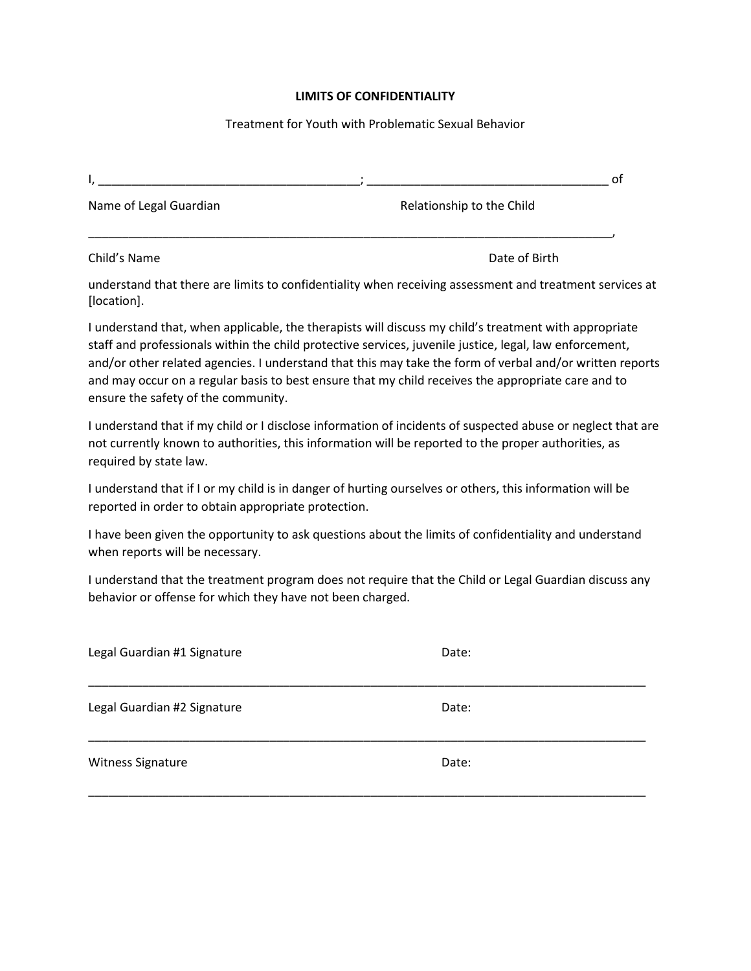#### **LIMITS OF CONFIDENTIALITY**

#### Treatment for Youth with Problematic Sexual Behavior

|                        |                           | O1 |
|------------------------|---------------------------|----|
| Name of Legal Guardian | Relationship to the Child |    |
|                        |                           |    |

Child's Name **Date of Birth** 

understand that there are limits to confidentiality when receiving assessment and treatment services at [location].

I understand that, when applicable, the therapists will discuss my child's treatment with appropriate staff and professionals within the child protective services, juvenile justice, legal, law enforcement, and/or other related agencies. I understand that this may take the form of verbal and/or written reports and may occur on a regular basis to best ensure that my child receives the appropriate care and to ensure the safety of the community.

I understand that if my child or I disclose information of incidents of suspected abuse or neglect that are not currently known to authorities, this information will be reported to the proper authorities, as required by state law.

I understand that if I or my child is in danger of hurting ourselves or others, this information will be reported in order to obtain appropriate protection.

I have been given the opportunity to ask questions about the limits of confidentiality and understand when reports will be necessary.

I understand that the treatment program does not require that the Child or Legal Guardian discuss any behavior or offense for which they have not been charged.

| Legal Guardian #1 Signature | Date: |
|-----------------------------|-------|
| Legal Guardian #2 Signature | Date: |
| <b>Witness Signature</b>    | Date: |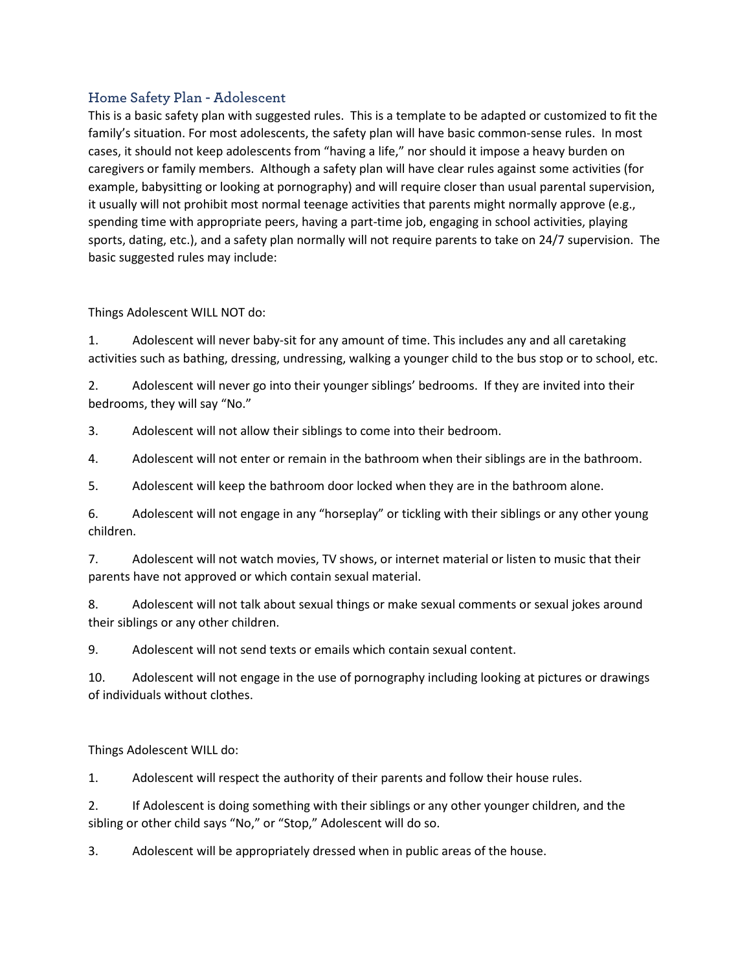### **Home Safety Plan - Adolescent**

This is a basic safety plan with suggested rules. This is a template to be adapted or customized to fit the family's situation. For most adolescents, the safety plan will have basic common-sense rules. In most cases, it should not keep adolescents from "having a life," nor should it impose a heavy burden on caregivers or family members. Although a safety plan will have clear rules against some activities (for example, babysitting or looking at pornography) and will require closer than usual parental supervision, it usually will not prohibit most normal teenage activities that parents might normally approve (e.g., spending time with appropriate peers, having a part-time job, engaging in school activities, playing sports, dating, etc.), and a safety plan normally will not require parents to take on 24/7 supervision. The basic suggested rules may include:

### Things Adolescent WILL NOT do:

1. Adolescent will never baby-sit for any amount of time. This includes any and all caretaking activities such as bathing, dressing, undressing, walking a younger child to the bus stop or to school, etc.

2. Adolescent will never go into their younger siblings' bedrooms. If they are invited into their bedrooms, they will say "No."

3. Adolescent will not allow their siblings to come into their bedroom.

4. Adolescent will not enter or remain in the bathroom when their siblings are in the bathroom.

5. Adolescent will keep the bathroom door locked when they are in the bathroom alone.

6. Adolescent will not engage in any "horseplay" or tickling with their siblings or any other young children.

7. Adolescent will not watch movies, TV shows, or internet material or listen to music that their parents have not approved or which contain sexual material.

8. Adolescent will not talk about sexual things or make sexual comments or sexual jokes around their siblings or any other children.

9. Adolescent will not send texts or emails which contain sexual content.

10. Adolescent will not engage in the use of pornography including looking at pictures or drawings of individuals without clothes.

Things Adolescent WILL do:

1. Adolescent will respect the authority of their parents and follow their house rules.

2. If Adolescent is doing something with their siblings or any other younger children, and the sibling or other child says "No," or "Stop," Adolescent will do so.

3. Adolescent will be appropriately dressed when in public areas of the house.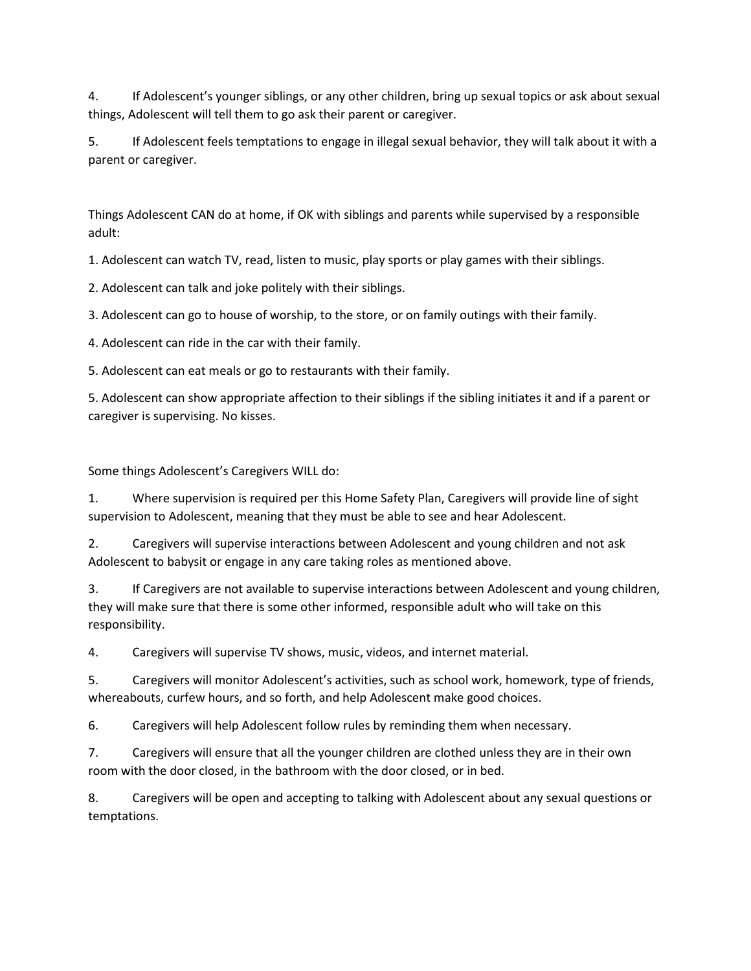4. If Adolescent's younger siblings, or any other children, bring up sexual topics or ask about sexual things, Adolescent will tell them to go ask their parent or caregiver.

5. If Adolescent feels temptations to engage in illegal sexual behavior, they will talk about it with a parent or caregiver.

Things Adolescent CAN do at home, if OK with siblings and parents while supervised by a responsible adult:

1. Adolescent can watch TV, read, listen to music, play sports or play games with their siblings.

2. Adolescent can talk and joke politely with their siblings.

3. Adolescent can go to house of worship, to the store, or on family outings with their family.

4. Adolescent can ride in the car with their family.

5. Adolescent can eat meals or go to restaurants with their family.

5. Adolescent can show appropriate affection to their siblings if the sibling initiates it and if a parent or caregiver is supervising. No kisses.

Some things Adolescent's Caregivers WILL do:

1. Where supervision is required per this Home Safety Plan, Caregivers will provide line of sight supervision to Adolescent, meaning that they must be able to see and hear Adolescent.

2. Caregivers will supervise interactions between Adolescent and young children and not ask Adolescent to babysit or engage in any care taking roles as mentioned above.

3. If Caregivers are not available to supervise interactions between Adolescent and young children, they will make sure that there is some other informed, responsible adult who will take on this responsibility.

4. Caregivers will supervise TV shows, music, videos, and internet material.

5. Caregivers will monitor Adolescent's activities, such as school work, homework, type of friends, whereabouts, curfew hours, and so forth, and help Adolescent make good choices.

6. Caregivers will help Adolescent follow rules by reminding them when necessary.

7. Caregivers will ensure that all the younger children are clothed unless they are in their own room with the door closed, in the bathroom with the door closed, or in bed.

8. Caregivers will be open and accepting to talking with Adolescent about any sexual questions or temptations.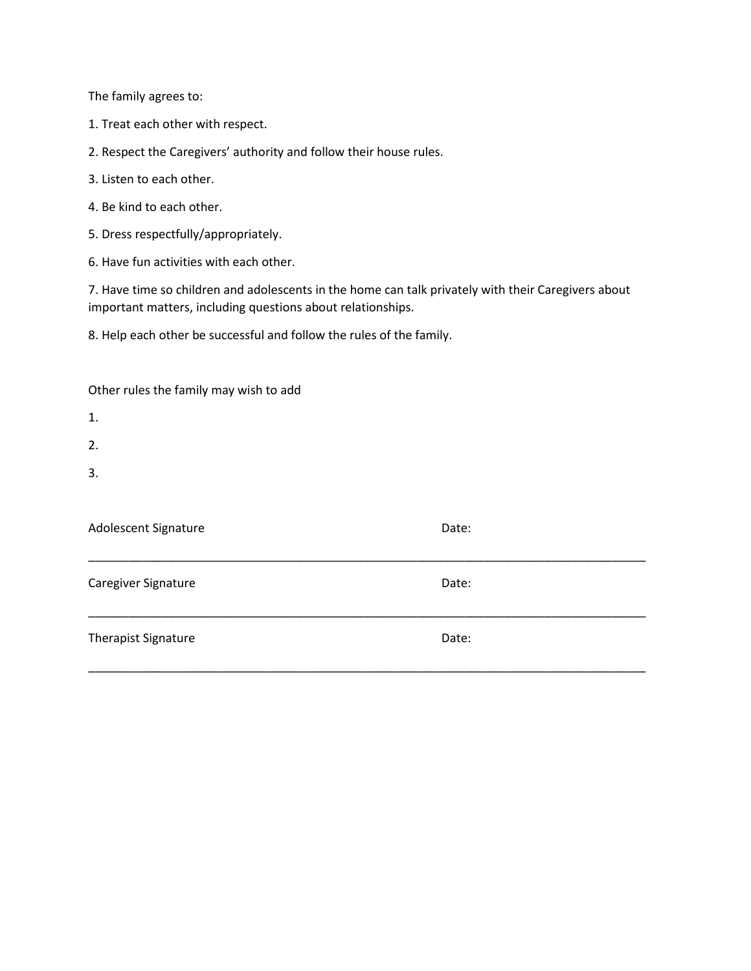The family agrees to:

- 1. Treat each other with respect.
- 2. Respect the Caregivers' authority and follow their house rules.
- 3. Listen to each other.
- 4. Be kind to each other.
- 5. Dress respectfully/appropriately.
- 6. Have fun activities with each other.

7. Have time so children and adolescents in the home can talk privately with their Caregivers about important matters, including questions about relationships.

8. Help each other be successful and follow the rules of the family.

| Other rules the family may wish to add |       |
|----------------------------------------|-------|
| 1.                                     |       |
| 2.                                     |       |
| 3.                                     |       |
|                                        |       |
| Adolescent Signature                   | Date: |
|                                        |       |
| Caregiver Signature                    | Date: |
|                                        |       |
| <b>Therapist Signature</b>             | Date: |
|                                        |       |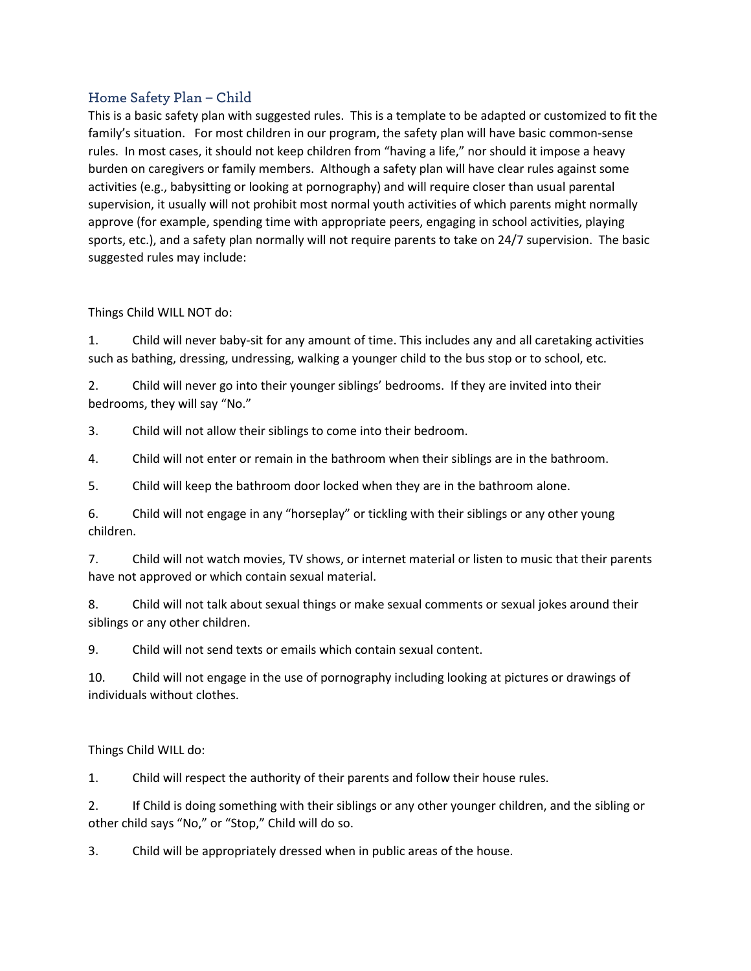## **Home Safety Plan – Child**

This is a basic safety plan with suggested rules. This is a template to be adapted or customized to fit the family's situation. For most children in our program, the safety plan will have basic common-sense rules. In most cases, it should not keep children from "having a life," nor should it impose a heavy burden on caregivers or family members. Although a safety plan will have clear rules against some activities (e.g., babysitting or looking at pornography) and will require closer than usual parental supervision, it usually will not prohibit most normal youth activities of which parents might normally approve (for example, spending time with appropriate peers, engaging in school activities, playing sports, etc.), and a safety plan normally will not require parents to take on 24/7 supervision. The basic suggested rules may include:

### Things Child WILL NOT do:

1. Child will never baby-sit for any amount of time. This includes any and all caretaking activities such as bathing, dressing, undressing, walking a younger child to the bus stop or to school, etc.

2. Child will never go into their younger siblings' bedrooms. If they are invited into their bedrooms, they will say "No."

3. Child will not allow their siblings to come into their bedroom.

4. Child will not enter or remain in the bathroom when their siblings are in the bathroom.

5. Child will keep the bathroom door locked when they are in the bathroom alone.

6. Child will not engage in any "horseplay" or tickling with their siblings or any other young children.

7. Child will not watch movies, TV shows, or internet material or listen to music that their parents have not approved or which contain sexual material.

8. Child will not talk about sexual things or make sexual comments or sexual jokes around their siblings or any other children.

9. Child will not send texts or emails which contain sexual content.

10. Child will not engage in the use of pornography including looking at pictures or drawings of individuals without clothes.

### Things Child WILL do:

1. Child will respect the authority of their parents and follow their house rules.

2. If Child is doing something with their siblings or any other younger children, and the sibling or other child says "No," or "Stop," Child will do so.

3. Child will be appropriately dressed when in public areas of the house.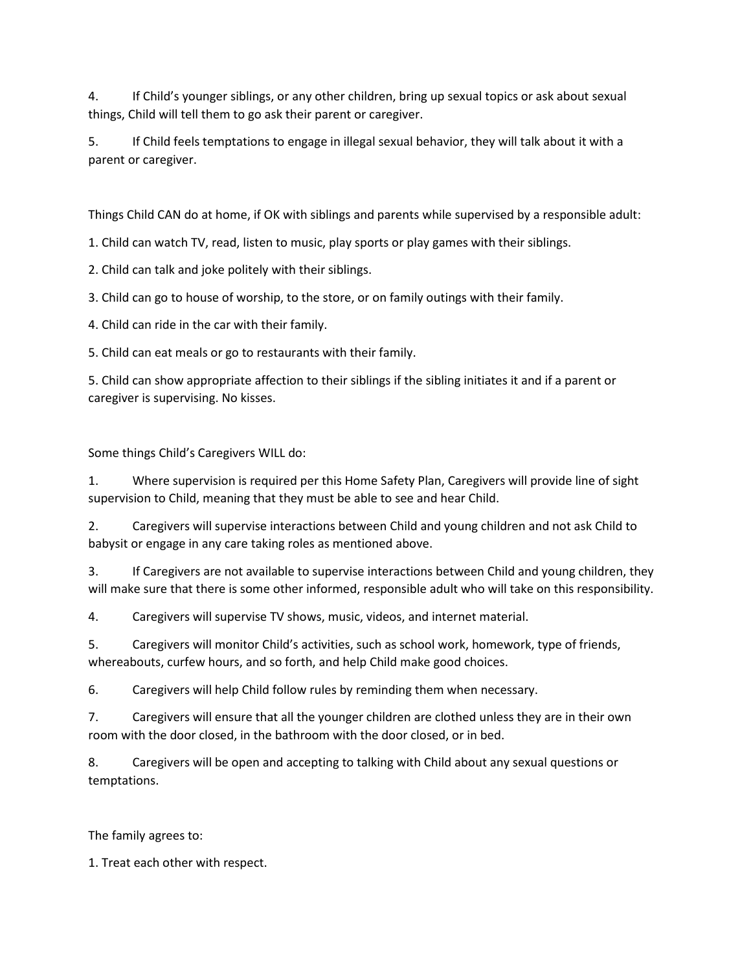4. If Child's younger siblings, or any other children, bring up sexual topics or ask about sexual things, Child will tell them to go ask their parent or caregiver.

5. If Child feels temptations to engage in illegal sexual behavior, they will talk about it with a parent or caregiver.

Things Child CAN do at home, if OK with siblings and parents while supervised by a responsible adult:

1. Child can watch TV, read, listen to music, play sports or play games with their siblings.

2. Child can talk and joke politely with their siblings.

3. Child can go to house of worship, to the store, or on family outings with their family.

4. Child can ride in the car with their family.

5. Child can eat meals or go to restaurants with their family.

5. Child can show appropriate affection to their siblings if the sibling initiates it and if a parent or caregiver is supervising. No kisses.

Some things Child's Caregivers WILL do:

1. Where supervision is required per this Home Safety Plan, Caregivers will provide line of sight supervision to Child, meaning that they must be able to see and hear Child.

2. Caregivers will supervise interactions between Child and young children and not ask Child to babysit or engage in any care taking roles as mentioned above.

3. If Caregivers are not available to supervise interactions between Child and young children, they will make sure that there is some other informed, responsible adult who will take on this responsibility.

4. Caregivers will supervise TV shows, music, videos, and internet material.

5. Caregivers will monitor Child's activities, such as school work, homework, type of friends, whereabouts, curfew hours, and so forth, and help Child make good choices.

6. Caregivers will help Child follow rules by reminding them when necessary.

7. Caregivers will ensure that all the younger children are clothed unless they are in their own room with the door closed, in the bathroom with the door closed, or in bed.

8. Caregivers will be open and accepting to talking with Child about any sexual questions or temptations.

The family agrees to:

1. Treat each other with respect.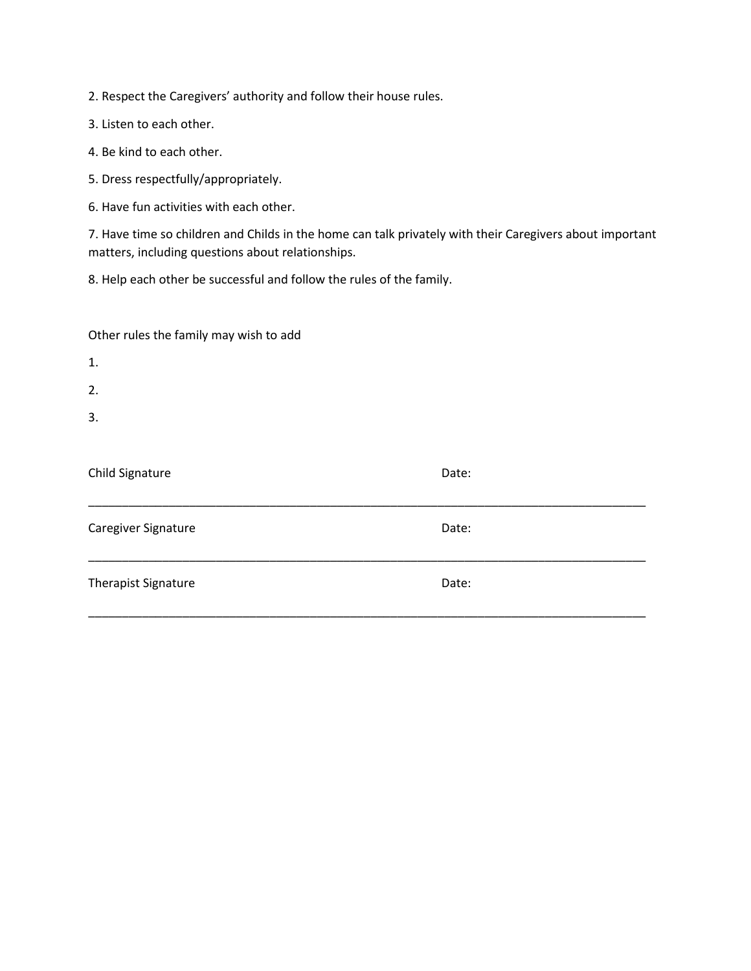2. Respect the Caregivers' authority and follow their house rules.

3. Listen to each other.

4. Be kind to each other.

5. Dress respectfully/appropriately.

6. Have fun activities with each other.

7. Have time so children and Childs in the home can talk privately with their Caregivers about important matters, including questions about relationships.

8. Help each other be successful and follow the rules of the family.

| Other rules the family may wish to add |       |
|----------------------------------------|-------|
| 1.                                     |       |
| 2.                                     |       |
| 3.                                     |       |
|                                        |       |
| Child Signature                        | Date: |
|                                        |       |
| Caregiver Signature                    | Date: |
|                                        |       |
| <b>Therapist Signature</b>             | Date: |
|                                        |       |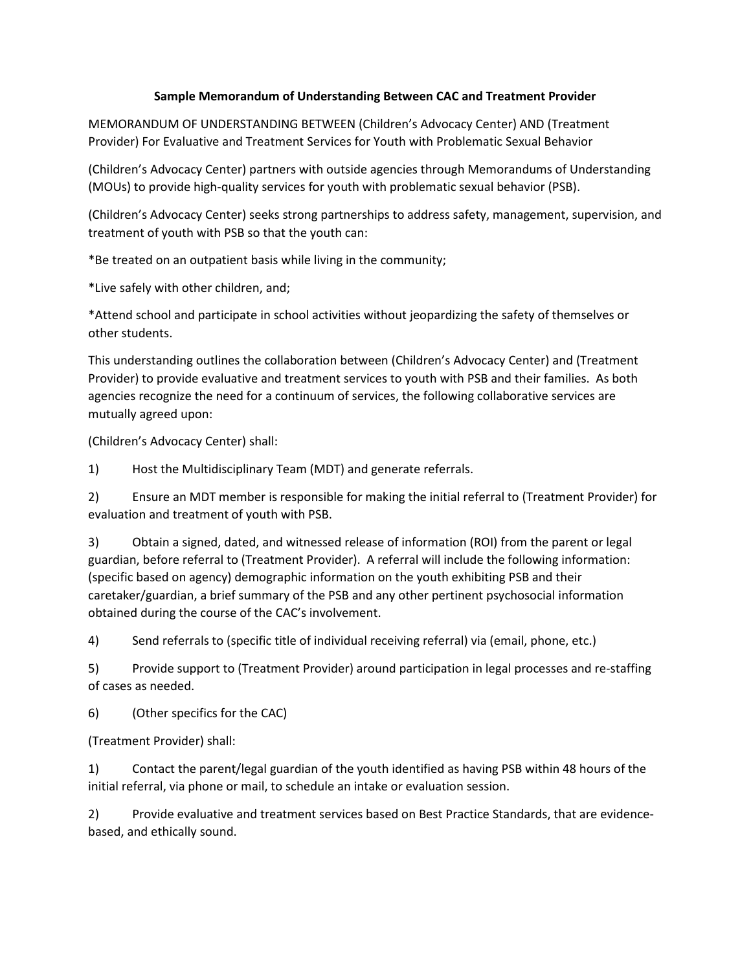### **Sample Memorandum of Understanding Between CAC and Treatment Provider**

MEMORANDUM OF UNDERSTANDING BETWEEN (Children's Advocacy Center) AND (Treatment Provider) For Evaluative and Treatment Services for Youth with Problematic Sexual Behavior

(Children's Advocacy Center) partners with outside agencies through Memorandums of Understanding (MOUs) to provide high-quality services for youth with problematic sexual behavior (PSB).

(Children's Advocacy Center) seeks strong partnerships to address safety, management, supervision, and treatment of youth with PSB so that the youth can:

\*Be treated on an outpatient basis while living in the community;

\*Live safely with other children, and;

\*Attend school and participate in school activities without jeopardizing the safety of themselves or other students.

This understanding outlines the collaboration between (Children's Advocacy Center) and (Treatment Provider) to provide evaluative and treatment services to youth with PSB and their families. As both agencies recognize the need for a continuum of services, the following collaborative services are mutually agreed upon:

(Children's Advocacy Center) shall:

1) Host the Multidisciplinary Team (MDT) and generate referrals.

2) Ensure an MDT member is responsible for making the initial referral to (Treatment Provider) for evaluation and treatment of youth with PSB.

3) Obtain a signed, dated, and witnessed release of information (ROI) from the parent or legal guardian, before referral to (Treatment Provider). A referral will include the following information: (specific based on agency) demographic information on the youth exhibiting PSB and their caretaker/guardian, a brief summary of the PSB and any other pertinent psychosocial information obtained during the course of the CAC's involvement.

4) Send referrals to (specific title of individual receiving referral) via (email, phone, etc.)

5) Provide support to (Treatment Provider) around participation in legal processes and re-staffing of cases as needed.

6) (Other specifics for the CAC)

(Treatment Provider) shall:

1) Contact the parent/legal guardian of the youth identified as having PSB within 48 hours of the initial referral, via phone or mail, to schedule an intake or evaluation session.

2) Provide evaluative and treatment services based on Best Practice Standards, that are evidencebased, and ethically sound.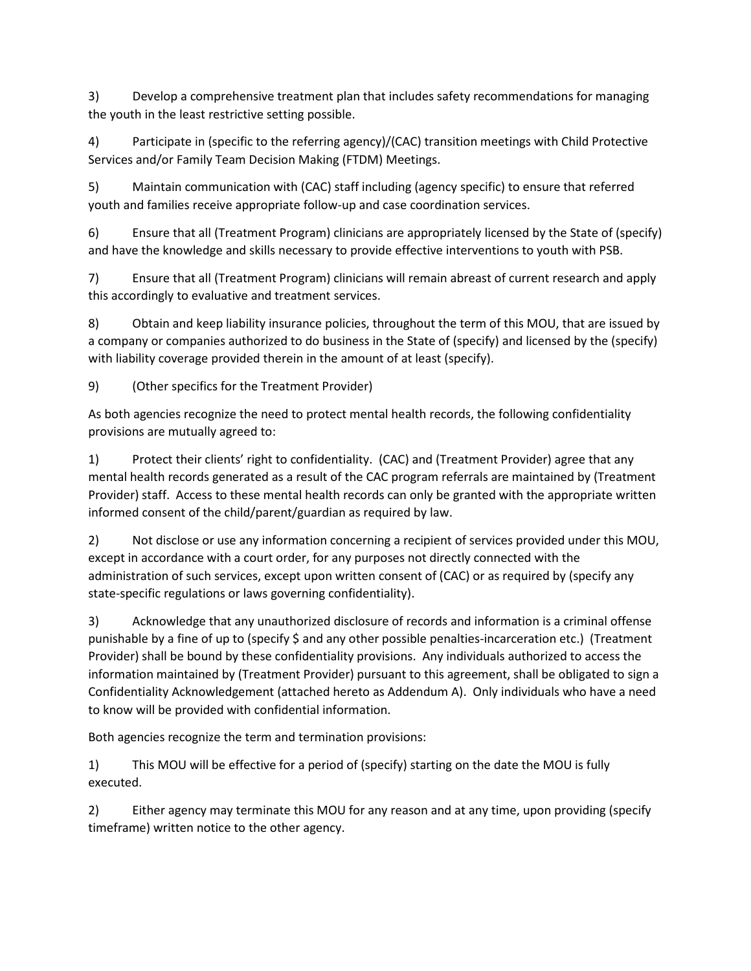3) Develop a comprehensive treatment plan that includes safety recommendations for managing the youth in the least restrictive setting possible.

4) Participate in (specific to the referring agency)/(CAC) transition meetings with Child Protective Services and/or Family Team Decision Making (FTDM) Meetings.

5) Maintain communication with (CAC) staff including (agency specific) to ensure that referred youth and families receive appropriate follow-up and case coordination services.

6) Ensure that all (Treatment Program) clinicians are appropriately licensed by the State of (specify) and have the knowledge and skills necessary to provide effective interventions to youth with PSB.

7) Ensure that all (Treatment Program) clinicians will remain abreast of current research and apply this accordingly to evaluative and treatment services.

8) Obtain and keep liability insurance policies, throughout the term of this MOU, that are issued by a company or companies authorized to do business in the State of (specify) and licensed by the (specify) with liability coverage provided therein in the amount of at least (specify).

9) (Other specifics for the Treatment Provider)

As both agencies recognize the need to protect mental health records, the following confidentiality provisions are mutually agreed to:

1) Protect their clients' right to confidentiality. (CAC) and (Treatment Provider) agree that any mental health records generated as a result of the CAC program referrals are maintained by (Treatment Provider) staff. Access to these mental health records can only be granted with the appropriate written informed consent of the child/parent/guardian as required by law.

2) Not disclose or use any information concerning a recipient of services provided under this MOU, except in accordance with a court order, for any purposes not directly connected with the administration of such services, except upon written consent of (CAC) or as required by (specify any state-specific regulations or laws governing confidentiality).

3) Acknowledge that any unauthorized disclosure of records and information is a criminal offense punishable by a fine of up to (specify \$ and any other possible penalties-incarceration etc.) (Treatment Provider) shall be bound by these confidentiality provisions. Any individuals authorized to access the information maintained by (Treatment Provider) pursuant to this agreement, shall be obligated to sign a Confidentiality Acknowledgement (attached hereto as Addendum A). Only individuals who have a need to know will be provided with confidential information.

Both agencies recognize the term and termination provisions:

1) This MOU will be effective for a period of (specify) starting on the date the MOU is fully executed.

2) Either agency may terminate this MOU for any reason and at any time, upon providing (specify timeframe) written notice to the other agency.